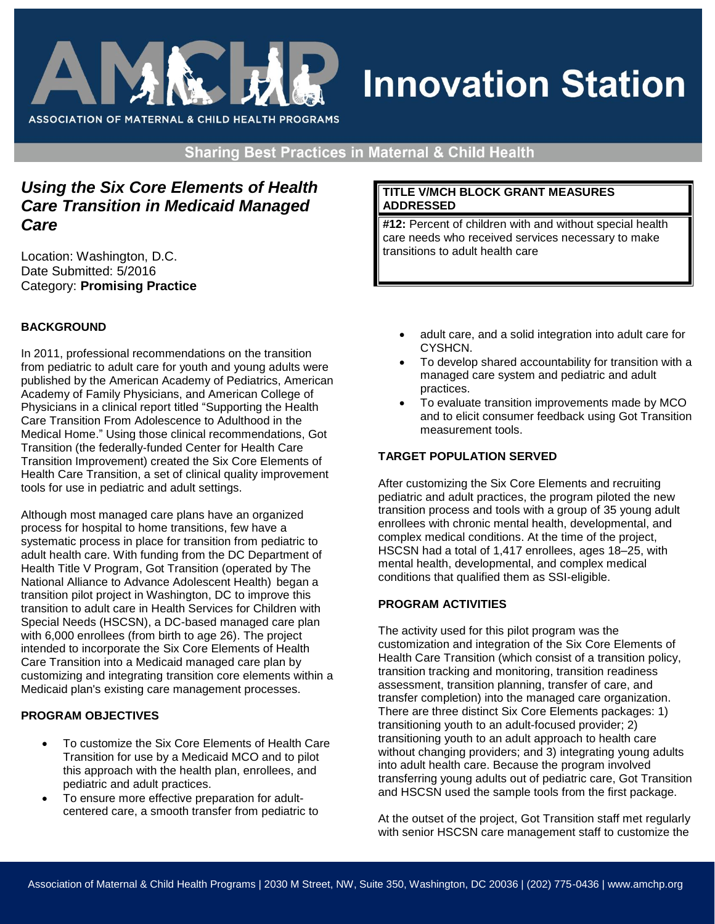

# **Innovation Station**

**Sharing Best Practices in Maternal & Child Health** 

# *Using the Six Core Elements of Health Care Transition in Medicaid Managed Care*

Location: Washington, D.C. Date Submitted: 5/2016 Category: **Promising Practice**

## **BACKGROUND**

In 2011, professional recommendations on the transition from pediatric to adult care for youth and young adults were published by the American Academy of Pediatrics, American Academy of Family Physicians, and American College of Physicians in a clinical report titled "Supporting the Health Care Transition From Adolescence to Adulthood in the Medical Home." Using those clinical recommendations, Got Transition (the federally-funded Center for Health Care Transition Improvement) created the Six Core Elements of Health Care Transition, a set of clinical quality improvement tools for use in pediatric and adult settings.

Although most managed care plans have an organized process for hospital to home transitions, few have a systematic process in place for transition from pediatric to adult health care. With funding from the DC Department of Health Title V Program, Got Transition (operated by The National Alliance to Advance Adolescent Health) began a transition pilot project in Washington, DC to improve this transition to adult care in Health Services for Children with Special Needs (HSCSN), a DC-based managed care plan with 6,000 enrollees (from birth to age 26). The project intended to incorporate the Six Core Elements of Health Care Transition into a Medicaid managed care plan by customizing and integrating transition core elements within a Medicaid plan's existing care management processes.

#### **PROGRAM OBJECTIVES**

- To customize the Six Core Elements of Health Care Transition for use by a Medicaid MCO and to pilot this approach with the health plan, enrollees, and pediatric and adult practices.
- To ensure more effective preparation for adultcentered care, a smooth transfer from pediatric to

#### **TITLE V/MCH BLOCK GRANT MEASURES ADDRESSED**

**#12:** Percent of children with and without special health care needs who received services necessary to make transitions to adult health care

- adult care, and a solid integration into adult care for CYSHCN.
- To develop shared accountability for transition with a managed care system and pediatric and adult practices.
- To evaluate transition improvements made by MCO and to elicit consumer feedback using Got Transition measurement tools.

## **TARGET POPULATION SERVED**

After customizing the Six Core Elements and recruiting pediatric and adult practices, the program piloted the new transition process and tools with a group of 35 young adult enrollees with chronic mental health, developmental, and complex medical conditions. At the time of the project, HSCSN had a total of 1,417 enrollees, ages 18–25, with mental health, developmental, and complex medical conditions that qualified them as SSI-eligible.

#### **PROGRAM ACTIVITIES**

The activity used for this pilot program was the customization and integration of the Six Core Elements of Health Care Transition (which consist of a transition policy, transition tracking and monitoring, transition readiness assessment, transition planning, transfer of care, and transfer completion) into the managed care organization. There are three distinct Six Core Elements packages: 1) transitioning youth to an adult-focused provider; 2) transitioning youth to an adult approach to health care without changing providers; and 3) integrating young adults into adult health care. Because the program involved transferring young adults out of pediatric care, Got Transition and HSCSN used the sample tools from the first package.

At the outset of the project, Got Transition staff met regularly with senior HSCSN care management staff to customize the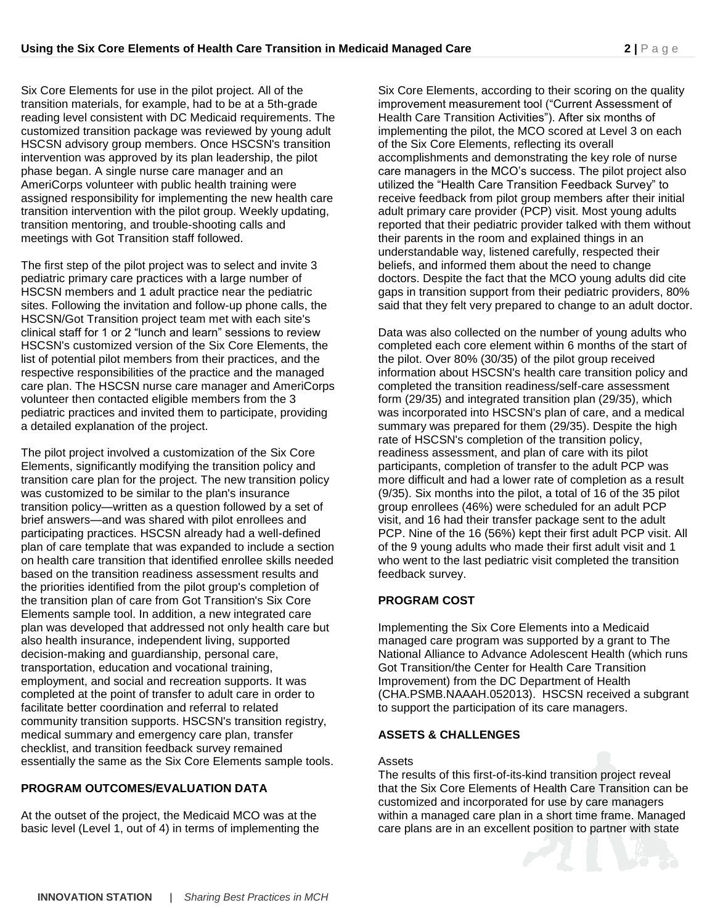Six Core Elements for use in the pilot project. All of the transition materials, for example, had to be at a 5th-grade reading level consistent with DC Medicaid requirements. The customized transition package was reviewed by young adult HSCSN advisory group members. Once HSCSN's transition intervention was approved by its plan leadership, the pilot phase began. A single nurse care manager and an AmeriCorps volunteer with public health training were assigned responsibility for implementing the new health care transition intervention with the pilot group. Weekly updating, transition mentoring, and trouble-shooting calls and meetings with Got Transition staff followed.

The first step of the pilot project was to select and invite 3 pediatric primary care practices with a large number of HSCSN members and 1 adult practice near the pediatric sites. Following the invitation and follow-up phone calls, the HSCSN/Got Transition project team met with each site's clinical staff for 1 or 2 "lunch and learn" sessions to review HSCSN's customized version of the Six Core Elements, the list of potential pilot members from their practices, and the respective responsibilities of the practice and the managed care plan. The HSCSN nurse care manager and AmeriCorps volunteer then contacted eligible members from the 3 pediatric practices and invited them to participate, providing a detailed explanation of the project.

The pilot project involved a customization of the Six Core Elements, significantly modifying the transition policy and transition care plan for the project. The new transition policy was customized to be similar to the plan's insurance transition policy—written as a question followed by a set of brief answers—and was shared with pilot enrollees and participating practices. HSCSN already had a well-defined plan of care template that was expanded to include a section on health care transition that identified enrollee skills needed based on the transition readiness assessment results and the priorities identified from the pilot group's completion of the transition plan of care from Got Transition's Six Core Elements sample tool. In addition, a new integrated care plan was developed that addressed not only health care but also health insurance, independent living, supported decision-making and guardianship, personal care, transportation, education and vocational training, employment, and social and recreation supports. It was completed at the point of transfer to adult care in order to facilitate better coordination and referral to related community transition supports. HSCSN's transition registry, medical summary and emergency care plan, transfer checklist, and transition feedback survey remained essentially the same as the Six Core Elements sample tools.

#### **PROGRAM OUTCOMES/EVALUATION DATA**

At the outset of the project, the Medicaid MCO was at the basic level (Level 1, out of 4) in terms of implementing the Six Core Elements, according to their scoring on the quality improvement measurement tool ("Current Assessment of Health Care Transition Activities"). After six months of implementing the pilot, the MCO scored at Level 3 on each of the Six Core Elements, reflecting its overall accomplishments and demonstrating the key role of nurse care managers in the MCO's success. The pilot project also utilized the "Health Care Transition Feedback Survey" to receive feedback from pilot group members after their initial adult primary care provider (PCP) visit. Most young adults reported that their pediatric provider talked with them without their parents in the room and explained things in an understandable way, listened carefully, respected their beliefs, and informed them about the need to change doctors. Despite the fact that the MCO young adults did cite gaps in transition support from their pediatric providers, 80% said that they felt very prepared to change to an adult doctor.

Data was also collected on the number of young adults who completed each core element within 6 months of the start of the pilot. Over 80% (30/35) of the pilot group received information about HSCSN's health care transition policy and completed the transition readiness/self-care assessment form (29/35) and integrated transition plan (29/35), which was incorporated into HSCSN's plan of care, and a medical summary was prepared for them (29/35). Despite the high rate of HSCSN's completion of the transition policy, readiness assessment, and plan of care with its pilot participants, completion of transfer to the adult PCP was more difficult and had a lower rate of completion as a result (9/35). Six months into the pilot, a total of 16 of the 35 pilot group enrollees (46%) were scheduled for an adult PCP visit, and 16 had their transfer package sent to the adult PCP. Nine of the 16 (56%) kept their first adult PCP visit. All of the 9 young adults who made their first adult visit and 1 who went to the last pediatric visit completed the transition feedback survey.

#### **PROGRAM COST**

Implementing the Six Core Elements into a Medicaid managed care program was supported by a grant to The National Alliance to Advance Adolescent Health (which runs Got Transition/the Center for Health Care Transition Improvement) from the DC Department of Health (CHA.PSMB.NAAAH.052013). HSCSN received a subgrant to support the participation of its care managers.

#### **ASSETS & CHALLENGES**

Assets

The results of this first-of-its-kind transition project reveal that the Six Core Elements of Health Care Transition can be customized and incorporated for use by care managers within a managed care plan in a short time frame. Managed care plans are in an excellent position to partner with state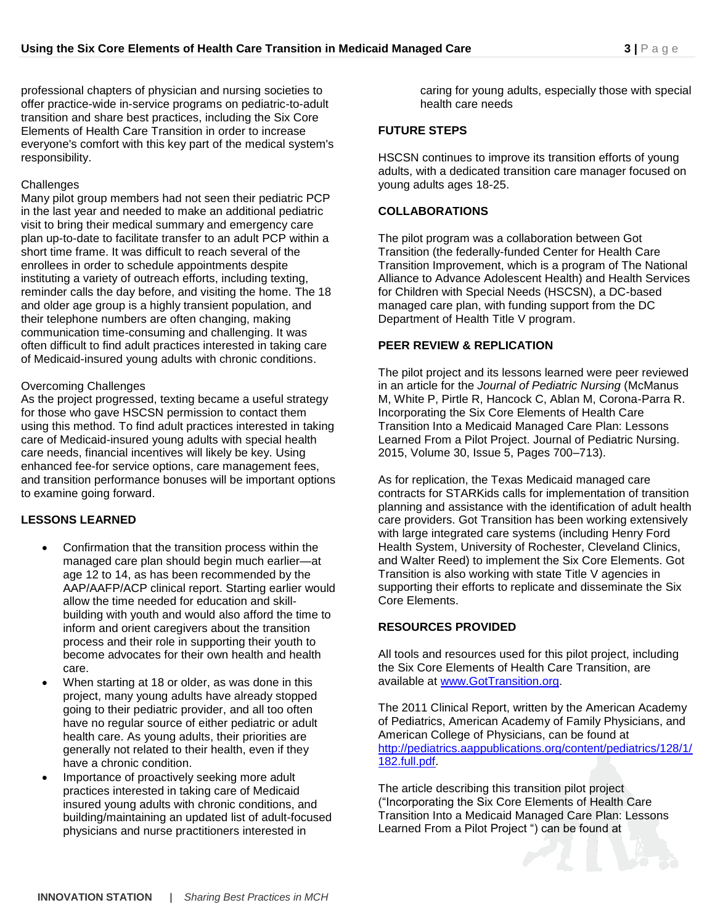professional chapters of physician and nursing societies to offer practice-wide in-service programs on pediatric-to-adult transition and share best practices, including the Six Core Elements of Health Care Transition in order to increase everyone's comfort with this key part of the medical system's responsibility.

#### **Challenges**

Many pilot group members had not seen their pediatric PCP in the last year and needed to make an additional pediatric visit to bring their medical summary and emergency care plan up-to-date to facilitate transfer to an adult PCP within a short time frame. It was difficult to reach several of the enrollees in order to schedule appointments despite instituting a variety of outreach efforts, including texting, reminder calls the day before, and visiting the home. The 18 and older age group is a highly transient population, and their telephone numbers are often changing, making communication time-consuming and challenging. It was often difficult to find adult practices interested in taking care of Medicaid-insured young adults with chronic conditions.

#### Overcoming Challenges

As the project progressed, texting became a useful strategy for those who gave HSCSN permission to contact them using this method. To find adult practices interested in taking care of Medicaid-insured young adults with special health care needs, financial incentives will likely be key. Using enhanced fee-for service options, care management fees, and transition performance bonuses will be important options to examine going forward.

# **LESSONS LEARNED**

- Confirmation that the transition process within the managed care plan should begin much earlier—at age 12 to 14, as has been recommended by the AAP/AAFP/ACP clinical report. Starting earlier would allow the time needed for education and skillbuilding with youth and would also afford the time to inform and orient caregivers about the transition process and their role in supporting their youth to become advocates for their own health and health care.
- When starting at 18 or older, as was done in this project, many young adults have already stopped going to their pediatric provider, and all too often have no regular source of either pediatric or adult health care. As young adults, their priorities are generally not related to their health, even if they have a chronic condition.
- Importance of proactively seeking more adult practices interested in taking care of Medicaid insured young adults with chronic conditions, and building/maintaining an updated list of adult-focused physicians and nurse practitioners interested in

caring for young adults, especially those with special health care needs

#### **FUTURE STEPS**

HSCSN continues to improve its transition efforts of young adults, with a dedicated transition care manager focused on young adults ages 18-25.

# **COLLABORATIONS**

The pilot program was a collaboration between Got Transition (the federally-funded Center for Health Care Transition Improvement, which is a program of The National Alliance to Advance Adolescent Health) and Health Services for Children with Special Needs (HSCSN), a DC-based managed care plan, with funding support from the DC Department of Health Title V program.

# **PEER REVIEW & REPLICATION**

The pilot project and its lessons learned were peer reviewed in an article for the *Journal of Pediatric Nursing* (McManus M, White P, Pirtle R, Hancock C, Ablan M, Corona-Parra R. Incorporating the Six Core Elements of Health Care Transition Into a Medicaid Managed Care Plan: Lessons Learned From a Pilot Project. Journal of Pediatric Nursing. 2015, Volume 30, Issue 5, Pages 700–713).

As for replication, the Texas Medicaid managed care contracts for STARKids calls for implementation of transition planning and assistance with the identification of adult health care providers. Got Transition has been working extensively with large integrated care systems (including Henry Ford Health System, University of Rochester, Cleveland Clinics, and Walter Reed) to implement the Six Core Elements. Got Transition is also working with state Title V agencies in supporting their efforts to replicate and disseminate the Six Core Elements.

# **RESOURCES PROVIDED**

All tools and resources used for this pilot project, including the Six Core Elements of Health Care Transition, are available at [www.GotTransition.org.](http://www.gottransition.org/)

The 2011 Clinical Report, written by the American Academy of Pediatrics, American Academy of Family Physicians, and American College of Physicians, can be found at [http://pediatrics.aappublications.org/content/pediatrics/128/1/](http://pediatrics.aappublications.org/content/pediatrics/128/1/182.full.pdf) [182.full.pdf.](http://pediatrics.aappublications.org/content/pediatrics/128/1/182.full.pdf)

The article describing this transition pilot project ("Incorporating the Six Core Elements of Health Care Transition Into a Medicaid Managed Care Plan: Lessons Learned From a Pilot Project ") can be found at